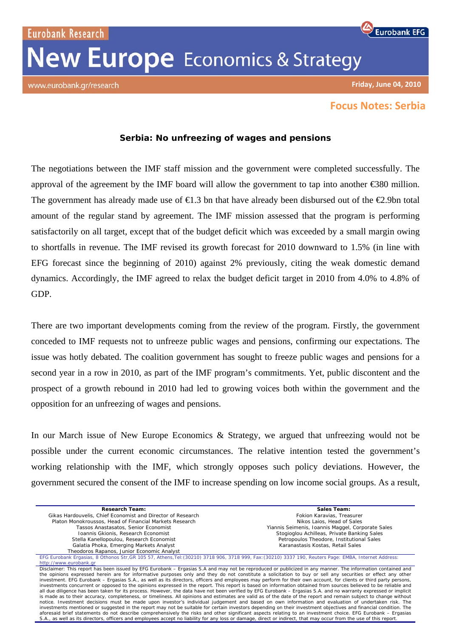Eurobank Research **New Europe** Economics & Strategy

www.eurobank.gr/research

## **Eurobank EFG**

**Friday, June 04, 2010**

## **Focus Notes: Serbia**

## **Serbia: No unfreezing of wages and pensions**

The negotiations between the IMF staff mission and the government were completed successfully. The approval of the agreement by the IMF board will allow the government to tap into another €380 million. The government has already made use of  $\epsilon$ 1.3 bn that have already been disbursed out of the  $\epsilon$ 2.9bn total amount of the regular stand by agreement. The IMF mission assessed that the program is performing satisfactorily on all target, except that of the budget deficit which was exceeded by a small margin owing to shortfalls in revenue. The IMF revised its growth forecast for 2010 downward to 1.5% (in line with EFG forecast since the beginning of 2010) against 2% previously, citing the weak domestic demand dynamics. Accordingly, the IMF agreed to relax the budget deficit target in 2010 from 4.0% to 4.8% of GDP.

There are two important developments coming from the review of the program. Firstly, the government conceded to IMF requests not to unfreeze public wages and pensions, confirming our expectations. The issue was hotly debated. The coalition government has sought to freeze public wages and pensions for a second year in a row in 2010, as part of the IMF program's commitments. Yet, public discontent and the prospect of a growth rebound in 2010 had led to growing voices both within the government and the opposition for an unfreezing of wages and pensions.

In our March issue of New Europe Economics & Strategy, we argued that unfreezing would not be possible under the current economic circumstances. The relative intention tested the government's working relationship with the IMF, which strongly opposes such policy deviations. However, the government secured the consent of the IMF to increase spending on low income social groups. As a result,

| <b>Research Team:</b>                                                                                                                                                                                                                                                                                                                                                                                                                                                                                                                                                                                                                                                                                                                                                                                                                                                                                                                                                                                                                                                                                                                                                                                                                                                                                                                                                                                                                                                                                  | Sales Team:                                       |
|--------------------------------------------------------------------------------------------------------------------------------------------------------------------------------------------------------------------------------------------------------------------------------------------------------------------------------------------------------------------------------------------------------------------------------------------------------------------------------------------------------------------------------------------------------------------------------------------------------------------------------------------------------------------------------------------------------------------------------------------------------------------------------------------------------------------------------------------------------------------------------------------------------------------------------------------------------------------------------------------------------------------------------------------------------------------------------------------------------------------------------------------------------------------------------------------------------------------------------------------------------------------------------------------------------------------------------------------------------------------------------------------------------------------------------------------------------------------------------------------------------|---------------------------------------------------|
| Gikas Hardouvelis, Chief Economist and Director of Research                                                                                                                                                                                                                                                                                                                                                                                                                                                                                                                                                                                                                                                                                                                                                                                                                                                                                                                                                                                                                                                                                                                                                                                                                                                                                                                                                                                                                                            | Fokion Karavias, Treasurer                        |
| Platon Monokroussos, Head of Financial Markets Research                                                                                                                                                                                                                                                                                                                                                                                                                                                                                                                                                                                                                                                                                                                                                                                                                                                                                                                                                                                                                                                                                                                                                                                                                                                                                                                                                                                                                                                | Nikos Laios. Head of Sales                        |
| Tassos Anastasatos, Senior Economist                                                                                                                                                                                                                                                                                                                                                                                                                                                                                                                                                                                                                                                                                                                                                                                                                                                                                                                                                                                                                                                                                                                                                                                                                                                                                                                                                                                                                                                                   | Yiannis Seimenis, Ioannis Maggel, Corporate Sales |
| Ioannis Gkionis, Research Economist                                                                                                                                                                                                                                                                                                                                                                                                                                                                                                                                                                                                                                                                                                                                                                                                                                                                                                                                                                                                                                                                                                                                                                                                                                                                                                                                                                                                                                                                    | Stogioglou Achilleas, Private Banking Sales       |
| Stella Kanellopoulou, Research Economist                                                                                                                                                                                                                                                                                                                                                                                                                                                                                                                                                                                                                                                                                                                                                                                                                                                                                                                                                                                                                                                                                                                                                                                                                                                                                                                                                                                                                                                               | Petropoulos Theodore, Institutional Sales         |
| Galatia Phoka, Emerging Markets Analyst                                                                                                                                                                                                                                                                                                                                                                                                                                                                                                                                                                                                                                                                                                                                                                                                                                                                                                                                                                                                                                                                                                                                                                                                                                                                                                                                                                                                                                                                | Karanastasis Kostas, Retail Sales                 |
| Theodoros Rapanos, Junior Economic Analyst                                                                                                                                                                                                                                                                                                                                                                                                                                                                                                                                                                                                                                                                                                                                                                                                                                                                                                                                                                                                                                                                                                                                                                                                                                                                                                                                                                                                                                                             |                                                   |
| EFG Eurobank Ergasias, 8 Othonos Str, GR 105 57, Athens, Tel: (30210) 3718 906, 3718 999, Fax: (30210) 3337 190, Reuters Page: EMBA, Internet Address:                                                                                                                                                                                                                                                                                                                                                                                                                                                                                                                                                                                                                                                                                                                                                                                                                                                                                                                                                                                                                                                                                                                                                                                                                                                                                                                                                 |                                                   |
| http://www.eurobank.gr                                                                                                                                                                                                                                                                                                                                                                                                                                                                                                                                                                                                                                                                                                                                                                                                                                                                                                                                                                                                                                                                                                                                                                                                                                                                                                                                                                                                                                                                                 |                                                   |
| Disclaimer: This report has been issued by EFG Eurobank – Ergasias S.A and may not be reproduced or publicized in any manner. The information contained and<br>the opinions expressed herein are for informative purposes only and they do not constitute a solicitation to buy or sell any securities or effect any other<br>investment. EFG Eurobank – Ergasias S.A., as well as its directors, officers and employees may perform for their own account, for clients or third party persons,<br>investments concurrent or opposed to the opinions expressed in the report. This report is based on information obtained from sources believed to be reliable and<br>all due diligence has been taken for its process. However, the data have not been verified by EFG Eurobank – Ergasias S.A. and no warranty expressed or implicit<br>is made as to their accuracy, completeness, or timeliness. All opinions and estimates are valid as of the date of the report and remain subject to change without<br>notice. Investment decisions must be made upon investor's individual judgement and based on own information and evaluation of undertaken risk. The<br>investments mentioned or suggested in the report may not be suitable for certain investors depending on their investment objectives and financial condition. The<br>aforesaid brief statements do not describe comprehensively the risks and other significant aspects relating to an investment choice. EFG Eurobank - Ergasias |                                                   |
| S.A., as well as its directors, officers and employees accept no liability for any loss or damage, direct or indirect, that may occur from the use of this report.                                                                                                                                                                                                                                                                                                                                                                                                                                                                                                                                                                                                                                                                                                                                                                                                                                                                                                                                                                                                                                                                                                                                                                                                                                                                                                                                     |                                                   |